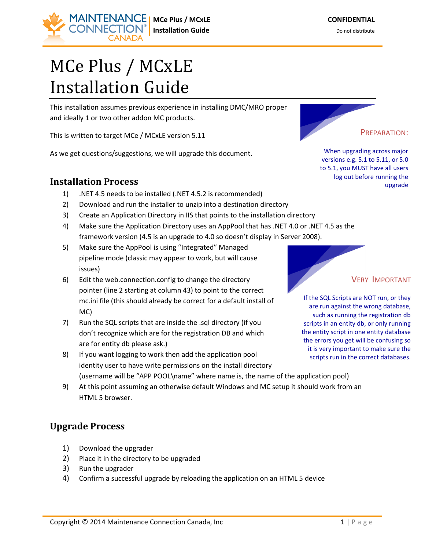# MCe Plus / MCxLE Installation Guide

This installation assumes previous experience in installing DMC/MRO proper and ideally 1 or two other addon MC products.

This is written to target MCe / MCxLE version 5.11

As we get questions/suggestions, we will upgrade this document.

### **Installation Process**

- 1) .NET 4.5 needs to be installed (.NET 4.5.2 is recommended)
- 2) Download and run the installer to unzip into a destination directory
- 3) Create an Application Directory in IIS that points to the installation directory
- 4) Make sure the Application Directory uses an AppPool that has .NET 4.0 or .NET 4.5 as the framework version (4.5 is an upgrade to 4.0 so doesn't display in Server 2008).
- 5) Make sure the AppPool is using "Integrated" Managed pipeline mode (classic may appear to work, but will cause issues)
- 6) Edit the web.connection.config to change the directory pointer (line 2 starting at column 43) to point to the correct mc.ini file (this should already be correct for a default install of MC)
- 7) Run the SQL scripts that are inside the .sql directory (if you don't recognize which are for the registration DB and which are for entity db please ask.)
- 8) If you want logging to work then add the application pool identity user to have write permissions on the install directory (username will be "APP POOL\name" where name is, the name of the application pool)
- 9) At this point assuming an otherwise default Windows and MC setup it should work from an HTML 5 browser.

## **Upgrade Process**

- 1) Download the upgrader
- 2) Place it in the directory to be upgraded
- 3) Run the upgrader
- 4) Confirm a successful upgrade by reloading the application on an HTML 5 device

When upgrading across major versions e.g. 5.1 to 5.11, or 5.0 to 5.1, you MUST have all users log out before running the

PREPARATION:

upgrade



VERY IMPORTANT

If the SQL Scripts are NOT run, or they are run against the wrong database, such as running the registration db scripts in an entity db, or only running the entity script in one entity database the errors you get will be confusing so it is very important to make sure the scripts run in the correct databases.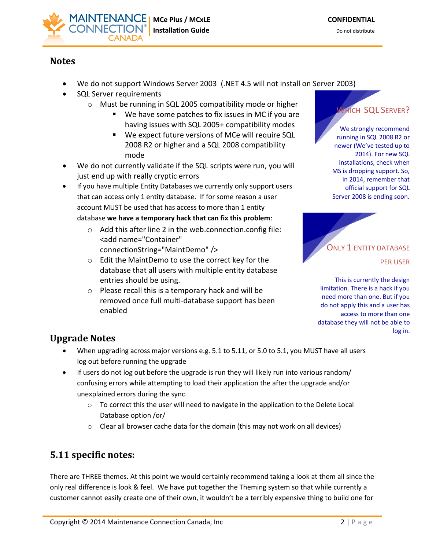

#### **Notes**

- We do not support Windows Server 2003 (.NET 4.5 will not install on Server 2003)
- SQL Server requirements
	- o Must be running in SQL 2005 compatibility mode or higher
		- We have some patches to fix issues in MC if you are having issues with SQL 2005+ compatibility modes
		- We expect future versions of MCe will require SQL 2008 R2 or higher and a SQL 2008 compatibility mode
- We do not currently validate if the SQL scripts were run, you will just end up with really cryptic errors
- If you have multiple Entity Databases we currently only support users that can access only 1 entity database. If for some reason a user account MUST be used that has access to more than 1 entity database **we have a temporary hack that can fix this problem**:
	- o Add this after line 2 in the web.connection.config file: <add name="Container" connectionString="MaintDemo" />
	- o Edit the MaintDemo to use the correct key for the database that all users with multiple entity database
	- entries should be using. o Please recall this is a temporary hack and will be removed once full multi-database support has been enabled



We strongly recommend running in SQL 2008 R2 or newer (We've tested up to 2014). For new SQL installations, check when MS is dropping support. So, in 2014, remember that official support for SQL Server 2008 is ending soon.



This is currently the design limitation. There is a hack if you need more than one. But if you do not apply this and a user has access to more than one database they will not be able to log in.

## **Upgrade Notes**

- When upgrading across major versions e.g. 5.1 to 5.11, or 5.0 to 5.1, you MUST have all users log out before running the upgrade
- If users do not log out before the upgrade is run they will likely run into various random/ confusing errors while attempting to load their application the after the upgrade and/or unexplained errors during the sync.
	- $\circ$  To correct this the user will need to navigate in the application to the Delete Local Database option /or/
	- $\circ$  Clear all browser cache data for the domain (this may not work on all devices)

## **5.11 specific notes:**

There are THREE themes. At this point we would certainly recommend taking a look at them all since the only real difference is look & feel. We have put together the Theming system so that while currently a customer cannot easily create one of their own, it wouldn't be a terribly expensive thing to build one for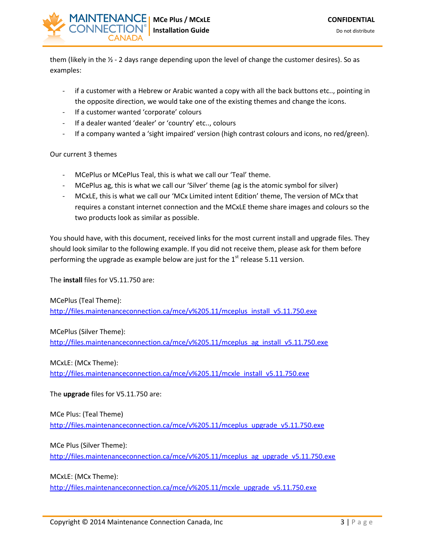

them (likely in the  $\frac{1}{2}$  - 2 days range depending upon the level of change the customer desires). So as examples:

- if a customer with a Hebrew or Arabic wanted a copy with all the back buttons etc.., pointing in the opposite direction, we would take one of the existing themes and change the icons.
- If a customer wanted 'corporate' colours
- If a dealer wanted 'dealer' or 'country' etc.., colours
- If a company wanted a 'sight impaired' version (high contrast colours and icons, no red/green).

#### Our current 3 themes

- MCePlus or MCePlus Teal, this is what we call our 'Teal' theme.
- MCePlus ag, this is what we call our 'Silver' theme (ag is the atomic symbol for silver)
- MCxLE, this is what we call our 'MCx Limited intent Edition' theme, The version of MCx that requires a constant internet connection and the MCxLE theme share images and colours so the two products look as similar as possible.

You should have, with this document, received links for the most current install and upgrade files. They should look similar to the following example. If you did not receive them, please ask for them before performing the upgrade as example below are just for the  $1<sup>st</sup>$  release 5.11 version.

The **install** files for V5.11.750 are:

MCePlus (Teal Theme): [http://files.maintenanceconnection.ca/mce/v%205.11/mceplus\\_install\\_v5.11.750.exe](http://files.maintenanceconnection.ca/mce/v%205.11/mceplus_install_v5.11.750.exe)

MCePlus (Silver Theme):

[http://files.maintenanceconnection.ca/mce/v%205.11/mceplus\\_ag\\_install\\_v5.11.750.exe](http://files.maintenanceconnection.ca/mce/v%205.11/mceplus_ag_install_v5.11.750.exe)

MCxLE: (MCx Theme):

[http://files.maintenanceconnection.ca/mce/v%205.11/mcxle\\_install\\_v5.11.750.exe](http://files.maintenanceconnection.ca/mce/v%205.11/mcxle_install_v5.11.750.exe)

The **upgrade** files for V5.11.750 are:

MCe Plus: (Teal Theme) [http://files.maintenanceconnection.ca/mce/v%205.11/mceplus\\_upgrade\\_v5.11.750.exe](http://files.maintenanceconnection.ca/mce/v%205.11/mceplus_upgrade_v5.11.750.exe)

MCe Plus (Silver Theme): [http://files.maintenanceconnection.ca/mce/v%205.11/mceplus\\_ag\\_upgrade\\_v5.11.750.exe](http://files.maintenanceconnection.ca/mce/v%205.11/mceplus_ag_upgrade_v5.11.750.exe)

MCxLE: (MCx Theme):

[http://files.maintenanceconnection.ca/mce/v%205.11/mcxle\\_upgrade\\_v5.11.750.exe](http://files.maintenanceconnection.ca/mce/v%205.11/mcxle_upgrade_v5.11.750.exe)